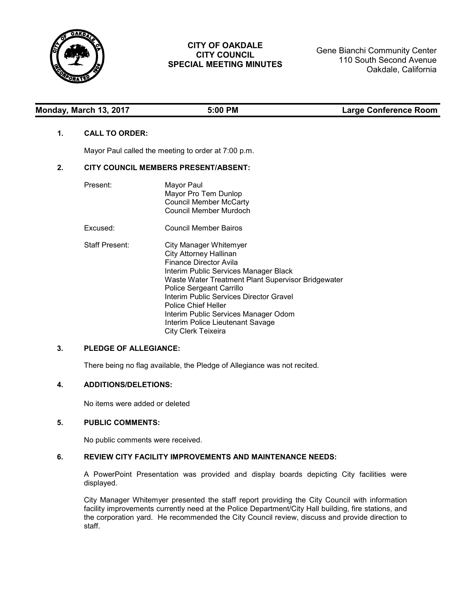

# **CITY OF OAKDALE CITY COUNCIL SPECIAL MEETING MINUTES**

Gene Bianchi Community Center 110 South Second Avenue Oakdale, California

## **Monday, March 13, 2017 5:00 PM Large Conference Room**

## **1. CALL TO ORDER:**

Mayor Paul called the meeting to order at 7:00 p.m.

### **2. CITY COUNCIL MEMBERS PRESENT/ABSENT:**

| Present:              | Mayor Paul<br>Mayor Pro Tem Dunlop<br><b>Council Member McCarty</b><br>Council Member Murdoch                                                                                                                                                                                                                                                                                                   |
|-----------------------|-------------------------------------------------------------------------------------------------------------------------------------------------------------------------------------------------------------------------------------------------------------------------------------------------------------------------------------------------------------------------------------------------|
| Excused:              | Council Member Bairos                                                                                                                                                                                                                                                                                                                                                                           |
| <b>Staff Present:</b> | City Manager Whitemyer<br><b>City Attorney Hallinan</b><br>Finance Director Avila<br>Interim Public Services Manager Black<br>Waste Water Treatment Plant Supervisor Bridgewater<br>Police Sergeant Carrillo<br>Interim Public Services Director Gravel<br><b>Police Chief Heller</b><br>Interim Public Services Manager Odom<br><b>Interim Police Lieutenant Savage</b><br>City Clerk Teixeira |

# **3. PLEDGE OF ALLEGIANCE:**

There being no flag available, the Pledge of Allegiance was not recited.

#### **4. ADDITIONS/DELETIONS:**

No items were added or deleted

#### **5. PUBLIC COMMENTS:**

No public comments were received.

## **6. REVIEW CITY FACILITY IMPROVEMENTS AND MAINTENANCE NEEDS:**

A PowerPoint Presentation was provided and display boards depicting City facilities were displayed.

City Manager Whitemyer presented the staff report providing the City Council with information facility improvements currently need at the Police Department/City Hall building, fire stations, and the corporation yard. He recommended the City Council review, discuss and provide direction to staff.